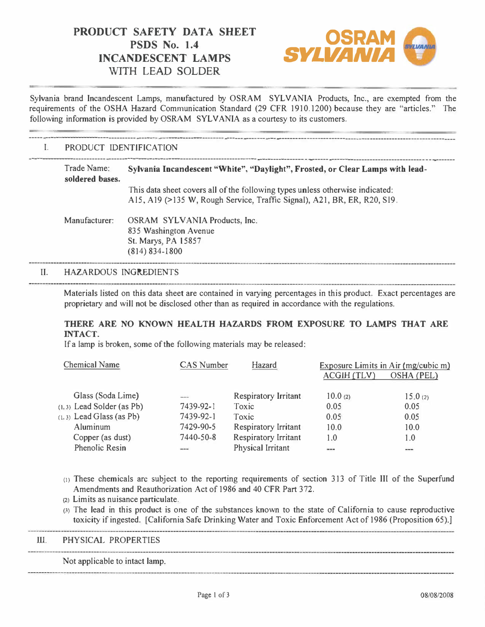## **PRODUCT SAFETY DATA SHEET <b>OSRAM**<br>
PSDS No. 1.4 **INCANDESCENT LAMPS WITH LEAD SOLDER**



Sylvania brand Incandescent Lamps, manufactured by OSRAM SYLVANIA Products, Inc., are exempted from the requirements of the OSHA Hazard Communication Standard (29 CFR 1910.1200) because they are "articles." The following information is provided by OSRAM SYLVANIA as a courtesy to its customers.

# ----- --------------------------------- -----..---------------------------------------- ---- -------------------------------------------·-----··--·------------- I. PRODUCT IDENTJFTCA TION

### ---------------------------- -----------------------·------------------------------- ------------------------- --------------------------------------------- Trade Name: **Sylvania Incandescent "White", "Daylight", Frosted, or Clear Lamps with leadsoldered bases.**  This data sheet covers all of the following types unless otherwise indicated: Al5, A19 (>135 W, Rough Service, Traffic Signal), A21, BR, ER, R20, Sl9. Manufacturer: OSRAM SYLVANIA Products, Inc. 835 Washington Avenue St. Marys, PA 15857 (814) 834-1800

#### II. HAZARDOUS INGREDIENTS

Materials listed on this data sheet are contained in varying percentages in this product. Exact percentages are proprietary and will not be disclosed other than as required in accordance with the regulations.

#### **THERE ARE NO KNOWN HEALTH HAZARDS FROM EXPOSURE TO LAMPS THAT ARE INTACT.**

If a lamp is broken, some of the following materials may be released:

| <b>Chemical Name</b>         | <b>CAS</b> Number | Hazard                      | Exposure Limits in Air (mg/cubic m) |            |
|------------------------------|-------------------|-----------------------------|-------------------------------------|------------|
|                              |                   |                             | ACGIH (TLV)                         | OSHA (PEL) |
| Glass (Soda Lime)            | ---               | Respiratory Irritant        | 10.0(2)                             | 15.0(2)    |
| $(1, 3)$ Lead Solder (as Pb) | 7439-92-1         | Toxic                       | 0.05                                | 0.05       |
| $(1, 3)$ Lead Glass (as Pb)  | 7439-92-1         | Toxic                       | 0.05                                | 0.05       |
| Aluminum                     | 7429-90-5         | <b>Respiratory Irritant</b> | 10.0                                | 10.0       |
| Copper (as dust)             | 7440-50-8         | <b>Respiratory Irritant</b> | 1.0                                 | 1.0        |
| Phenolic Resin               | ---               | Physical Irritant           | $- - -$                             | $\cdots$   |

- c1) These chemicals are subject to the reporting requirements of section 313 of Title III of the Superfund Amendments and Reauthorization Act of 1986 and 40 CFR Part 372.
- (2) Limits as nuisance particulate.
- (3} The lead in this product is one of the substances known to the state of California to cause reproductive toxicity if ingested. [California Safe Drinking Water and Toxic Enforcement Act of 1986 (Proposition 65).)

#### ill. PHYSICAL PROPERTIES

Not applicable to intact lamp.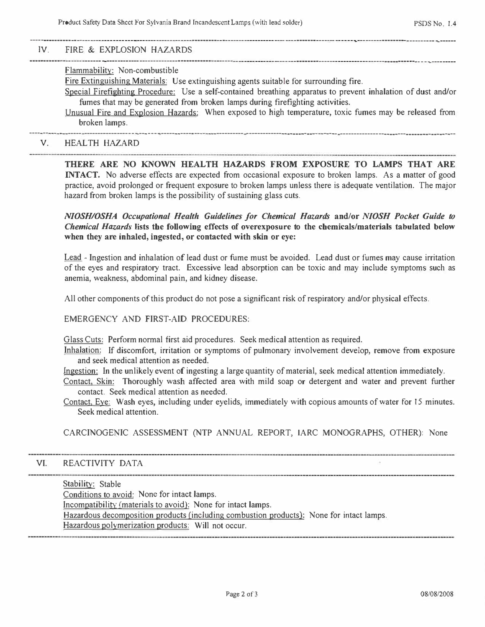-- --------------

------- · -----------------------------------· -----------------

#### ------------------------------·----·---------·------------------------------- · ---------------·-------· **IV. FIRE & EXPLOSION HAZARDS**

#### ---------------------------------· --·---------------------------------------------------·-------·------------------------------·------ --- · ---- · --- **Flammability: Non-combustible**

**Fire Extinguishing Materials: Use extinguishing agents suitable for surrounding fire.** 

**Special Firefighting Procedure: Use a self-contained breathing apparatus to prevent inhalation of dust and/or fumes that may be generated from broken lamps during firefighting activities.** 

**Unusual Fire and Explosion Hazards: When exposed to high temperature, toxic fumes may be released from broken lamps.**  --------------------------------·---·----------------------------------------------------------------------------- -------------------------------------------

**V. HEALTH HAZARD** 

**THERE ARE NO KNOWN HEALTH HAZARDS FROM EXPOSURE TO LAMPS THAT ARE INTACT. No adverse effects are expected from occasional exposure to broken lamps. As a matter of good practice, avoid prolonged or frequent exposure to broken lamps unless there is adequate ventilation. The major hazard from broken lamps is the possibility of sustaining glass cuts.** 

*NIOSH/OSHA Occupational Health Guidelines for Chemical Hazards* **and/or** *NIOSH Pocket Guide to Chemical Hazards* **lists the following effects of overexposure to the chemicals/materials tabulated below when they are inhaled, ingested, or contacted with skin or eye:** 

**Lead - Ingestion and inhalation of lead dust or fume must be avoided. Lead dust or fumes may cause irritation of the eyes and respiratory tract. Excessive lead absorption can be toxic and may include symptoms such as anemia, weakness, abdominal pain, and kidney disease.** 

All other components of this product do not pose a significant risk of respiratory and/or physical effects.

**EMERGENCY AND FIRST-AID PROCEDURES:** 

**Glass Cuts: Perform normal first aid procedures. Seek medical attention as required.** 

**Inhalation: If discomfort, irritation or symptoms of pulmonary involvement develop, remove from exposure and seek medical attention as needed.** 

**Ingestion: In the unlikely event of ingesting a large quantity of material, seek medical attention immediately.** 

**Contact, Skin: Thoroughly wash affected area with mild soap or detergent and water and prevent further contact. Seek medical attention as needed.** 

**Contact, Eye: Wash eyes, including under eyelids, immediately with copious amounts of water for 15 minutes. Seek medical attention.** 

**CARCINOGENIC ASSESSMENT (NTP ANNUAL REPORT, IARC MONOGRAPHS, OTHER): None** 

#### **VJ. REACTIVITY DATA**

**Stability: Stable** 

**Conditions to avoid: None for intact lamps.** 

**Incompatibility(materials to avoid): None for intact lamps.** 

**Hazardous decomposition products(including combustion products): None for intact lamps.** 

**Hazardous polymerization products: Will not occur.**